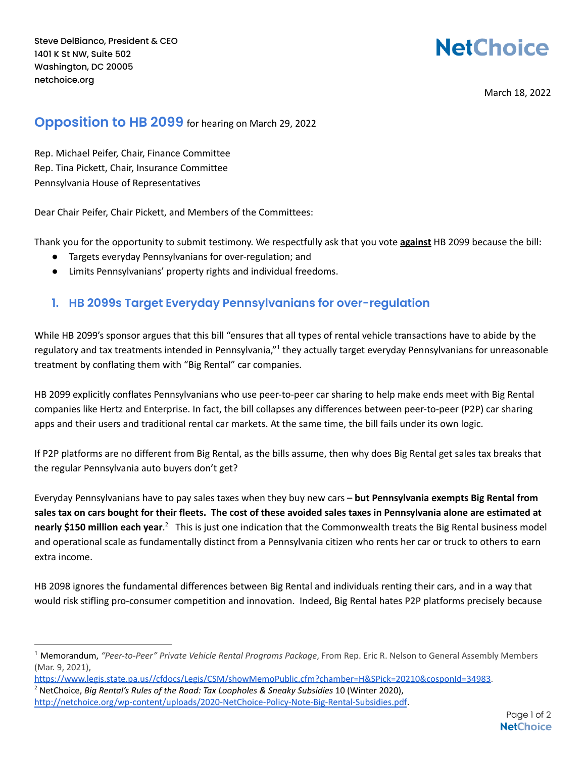## **NetChoice**

March 18, 2022

## **Opposition to HB 2099** for hearing on March 29, 2022

Rep. Michael Peifer, Chair, Finance Committee Rep. Tina Pickett, Chair, Insurance Committee Pennsylvania House of Representatives

Dear Chair Peifer, Chair Pickett, and Members of the Committees:

Thank you for the opportunity to submit testimony. We respectfully ask that you vote **against** HB 2099 because the bill:

- Targets everyday Pennsylvanians for over-regulation; and
- Limits Pennsylvanians' property rights and individual freedoms.

## **1. HB 2099s Target Everyday Pennsylvanians for over-regulation**

While HB 2099's sponsor argues that this bill "ensures that all types of rental vehicle transactions have to abide by the regulatory and tax treatments intended in Pennsylvania,"<sup>1</sup> they actually target everyday Pennsylvanians for unreasonable treatment by conflating them with "Big Rental" car companies.

HB 2099 explicitly conflates Pennsylvanians who use peer-to-peer car sharing to help make ends meet with Big Rental companies like Hertz and Enterprise. In fact, the bill collapses any differences between peer-to-peer (P2P) car sharing apps and their users and traditional rental car markets. At the same time, the bill fails under its own logic.

If P2P platforms are no different from Big Rental, as the bills assume, then why does Big Rental get sales tax breaks that the regular Pennsylvania auto buyers don't get?

Everyday Pennsylvanians have to pay sales taxes when they buy new cars – **but Pennsylvania exempts Big Rental from** sales tax on cars bought for their fleets. The cost of these avoided sales taxes in Pennsylvania alone are estimated at **nearly \$150 million each year**. <sup>2</sup> This is just one indication that the Commonwealth treats the Big Rental business model and operational scale as fundamentally distinct from a Pennsylvania citizen who rents her car or truck to others to earn extra income.

HB 2098 ignores the fundamental differences between Big Rental and individuals renting their cars, and in a way that would risk stifling pro-consumer competition and innovation. Indeed, Big Rental hates P2P platforms precisely because

<https://www.legis.state.pa.us//cfdocs/Legis/CSM/showMemoPublic.cfm?chamber=H&SPick=20210&cosponId=34983>.

<sup>1</sup> Memorandum, *"Peer-to-Peer" Private Vehicle Rental Programs Package*, From Rep. Eric R. Nelson to General Assembly Members (Mar. 9, 2021),

<sup>2</sup> NetChoice, *Big Rental's Rules of the Road: Tax Loopholes & Sneaky Subsidies* 10 (Winter 2020), <http://netchoice.org/wp-content/uploads/2020-NetChoice-Policy-Note-Big-Rental-Subsidies.pdf>.